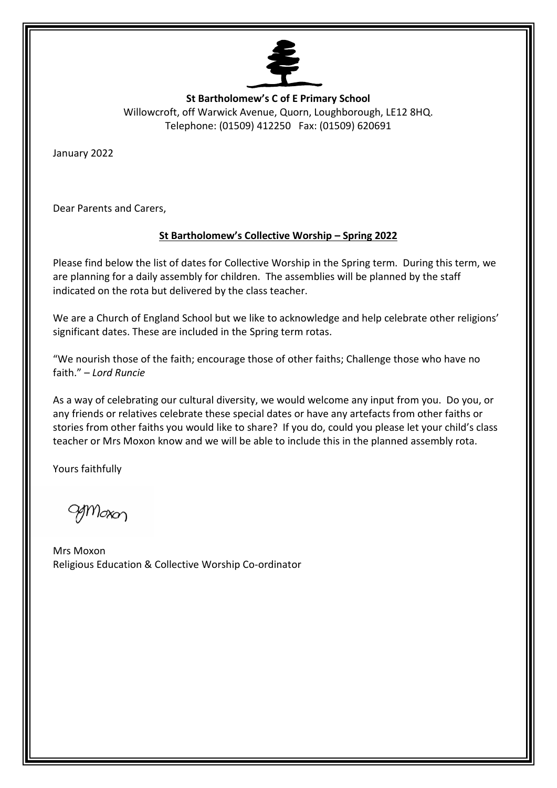

**St Bartholomew's C of E Primary School** Willowcroft, off Warwick Avenue, Quorn, Loughborough, LE12 8HQ. Telephone: (01509) 412250 Fax: (01509) 620691

January 2022

Dear Parents and Carers,

#### **St Bartholomew's Collective Worship – Spring 2022**

Please find below the list of dates for Collective Worship in the Spring term. During this term, we are planning for a daily assembly for children. The assemblies will be planned by the staff indicated on the rota but delivered by the class teacher.

We are a Church of England School but we like to acknowledge and help celebrate other religions' significant dates. These are included in the Spring term rotas.

"We nourish those of the faith; encourage those of other faiths; Challenge those who have no faith." – *Lord Runcie*

As a way of celebrating our cultural diversity, we would welcome any input from you. Do you, or any friends or relatives celebrate these special dates or have any artefacts from other faiths or stories from other faiths you would like to share? If you do, could you please let your child's class teacher or Mrs Moxon know and we will be able to include this in the planned assembly rota.

Yours faithfully

grrioxon

Mrs Moxon Religious Education & Collective Worship Co-ordinator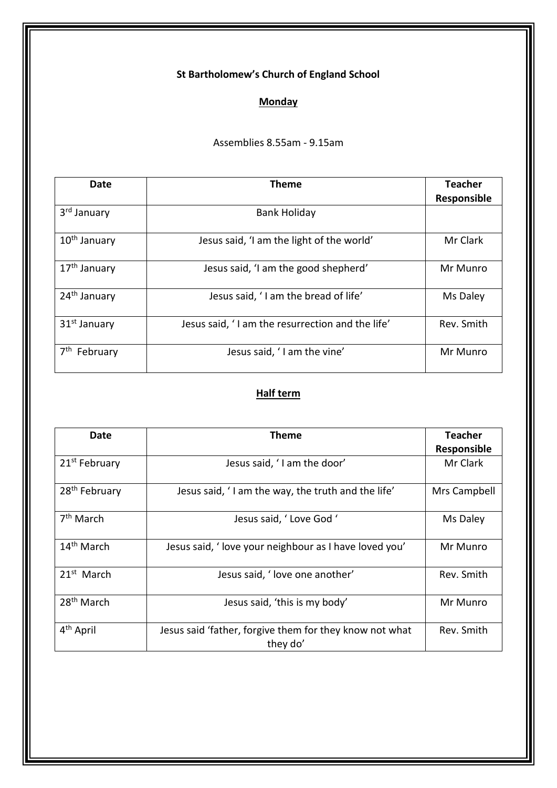# **Monday**

Assemblies 8.55am - 9.15am

| Date                     | <b>Theme</b>                                     | <b>Teacher</b><br>Responsible |
|--------------------------|--------------------------------------------------|-------------------------------|
| 3 <sup>rd</sup> January  | <b>Bank Holiday</b>                              |                               |
| 10 <sup>th</sup> January | Jesus said, 'I am the light of the world'        | Mr Clark                      |
| 17 <sup>th</sup> January | Jesus said, 'I am the good shepherd'             | Mr Munro                      |
| 24 <sup>th</sup> January | Jesus said, 'I am the bread of life'             | Ms Daley                      |
| 31 <sup>st</sup> January | Jesus said, 'I am the resurrection and the life' | Rev. Smith                    |
| 7 <sup>th</sup> February | Jesus said, 'I am the vine'                      | Mr Munro                      |

| Date                      | Theme                                                               | Teacher            |
|---------------------------|---------------------------------------------------------------------|--------------------|
|                           |                                                                     | <b>Responsible</b> |
| 21 <sup>st</sup> February | Jesus said, 'I am the door'                                         | Mr Clark           |
| 28 <sup>th</sup> February | Jesus said, 'I am the way, the truth and the life'                  | Mrs Campbell       |
| $7th$ March               | Jesus said, 'Love God '                                             | Ms Daley           |
| 14 <sup>th</sup> March    | Jesus said, ' love your neighbour as I have loved you'              | Mr Munro           |
| $21st$ March              | Jesus said, 'love one another'                                      | Rev. Smith         |
| 28 <sup>th</sup> March    | Jesus said, 'this is my body'                                       | Mr Munro           |
| 4 <sup>th</sup> April     | Jesus said 'father, forgive them for they know not what<br>they do' | Rev. Smith         |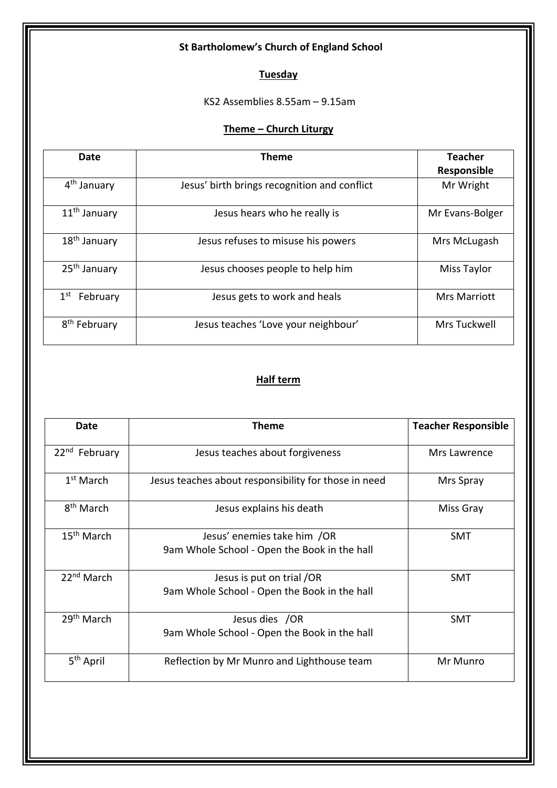### **Tuesday**

KS2 Assemblies 8.55am – 9.15am

#### **Theme – Church Liturgy**

| Date                        | <b>Theme</b>                                 | <b>Teacher</b><br>Responsible |
|-----------------------------|----------------------------------------------|-------------------------------|
| 4 <sup>th</sup> January     | Jesus' birth brings recognition and conflict | Mr Wright                     |
| 11 <sup>th</sup> January    | Jesus hears who he really is                 | Mr Evans-Bolger               |
| 18 <sup>th</sup> January    | Jesus refuses to misuse his powers           | Mrs McLugash                  |
| 25 <sup>th</sup> January    | Jesus chooses people to help him             | <b>Miss Taylor</b>            |
| 1 <sup>st</sup><br>February | Jesus gets to work and heals                 | <b>Mrs Marriott</b>           |
| 8 <sup>th</sup> February    | Jesus teaches 'Love your neighbour'          | Mrs Tuckwell                  |

| Date                      | Theme                                                                       | <b>Teacher Responsible</b> |
|---------------------------|-----------------------------------------------------------------------------|----------------------------|
| 22 <sup>nd</sup> February | Jesus teaches about forgiveness                                             | Mrs Lawrence               |
| $1st$ March               | Jesus teaches about responsibility for those in need                        | Mrs Spray                  |
| 8 <sup>th</sup> March     | Jesus explains his death                                                    | Miss Gray                  |
| 15 <sup>th</sup> March    | Jesus' enemies take him /OR<br>9am Whole School - Open the Book in the hall | <b>SMT</b>                 |
| 22 <sup>nd</sup> March    | Jesus is put on trial /OR<br>9am Whole School - Open the Book in the hall   | SMT                        |
| 29 <sup>th</sup> March    | Jesus dies /OR<br>9am Whole School - Open the Book in the hall              | <b>SMT</b>                 |
| 5 <sup>th</sup> April     | Reflection by Mr Munro and Lighthouse team                                  | Mr Munro                   |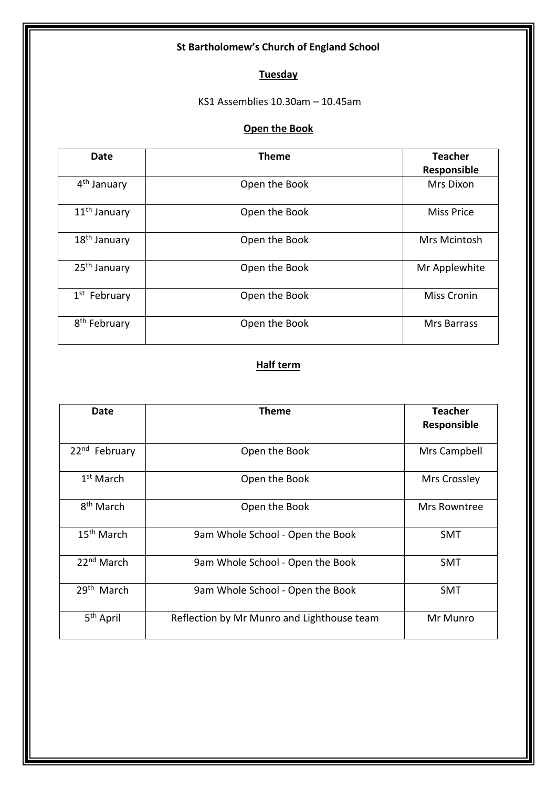# **Tuesday**

KS1 Assemblies 10.30am – 10.45am

### **Open the Book**

| <b>Date</b>              | <b>Theme</b>  | <b>Teacher</b><br>Responsible |
|--------------------------|---------------|-------------------------------|
| 4 <sup>th</sup> January  | Open the Book | Mrs Dixon                     |
| 11 <sup>th</sup> January | Open the Book | <b>Miss Price</b>             |
| 18 <sup>th</sup> January | Open the Book | Mrs Mcintosh                  |
| 25 <sup>th</sup> January | Open the Book | Mr Applewhite                 |
| $1st$ February           | Open the Book | <b>Miss Cronin</b>            |
| 8 <sup>th</sup> February | Open the Book | <b>Mrs Barrass</b>            |

| Date                      | <b>Theme</b>                               | <b>Teacher</b><br>Responsible |
|---------------------------|--------------------------------------------|-------------------------------|
|                           |                                            |                               |
| 22 <sup>nd</sup> February | Open the Book                              | Mrs Campbell                  |
| $1st$ March               | Open the Book                              | Mrs Crossley                  |
| 8 <sup>th</sup> March     | Open the Book                              | Mrs Rowntree                  |
| 15 <sup>th</sup> March    | 9am Whole School - Open the Book           | <b>SMT</b>                    |
| 22 <sup>nd</sup> March    | 9am Whole School - Open the Book           | SMT                           |
| 29 <sup>th</sup> March    | 9am Whole School - Open the Book           | SMT                           |
| 5 <sup>th</sup> April     | Reflection by Mr Munro and Lighthouse team | Mr Munro                      |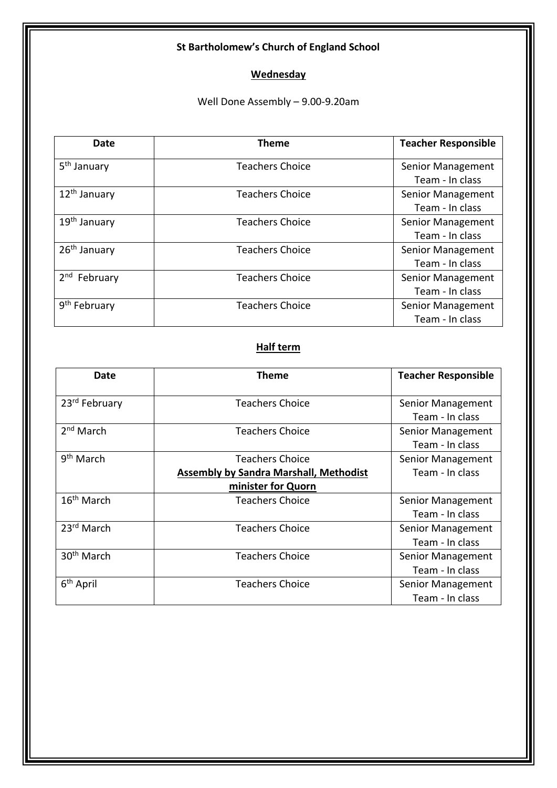### **Wednesday**

Well Done Assembly – 9.00-9.20am

| Date                     | <b>Theme</b>           | <b>Teacher Responsible</b> |
|--------------------------|------------------------|----------------------------|
| 5 <sup>th</sup> January  | <b>Teachers Choice</b> | Senior Management          |
|                          |                        | Team - In class            |
| 12 <sup>th</sup> January | <b>Teachers Choice</b> | Senior Management          |
|                          |                        | Team - In class            |
| 19 <sup>th</sup> January | <b>Teachers Choice</b> | Senior Management          |
|                          |                        | Team - In class            |
| 26 <sup>th</sup> January | <b>Teachers Choice</b> | Senior Management          |
|                          |                        | Team - In class            |
| 2 <sup>nd</sup> February | <b>Teachers Choice</b> | Senior Management          |
|                          |                        | Team - In class            |
| 9 <sup>th</sup> February | <b>Teachers Choice</b> | Senior Management          |
|                          |                        | Team - In class            |

| Date                   | Theme                                         | <b>Teacher Responsible</b> |
|------------------------|-----------------------------------------------|----------------------------|
| 23rd February          | <b>Teachers Choice</b>                        | Senior Management          |
|                        |                                               | Team - In class            |
| $2nd$ March            | <b>Teachers Choice</b>                        | Senior Management          |
|                        |                                               | Team - In class            |
| 9 <sup>th</sup> March  | <b>Teachers Choice</b>                        | Senior Management          |
|                        | <b>Assembly by Sandra Marshall, Methodist</b> | Team - In class            |
|                        | minister for Quorn                            |                            |
| 16 <sup>th</sup> March | <b>Teachers Choice</b>                        | Senior Management          |
|                        |                                               | Team - In class            |
| 23rd March             | <b>Teachers Choice</b>                        | Senior Management          |
|                        |                                               | Team - In class            |
| 30 <sup>th</sup> March | <b>Teachers Choice</b>                        | Senior Management          |
|                        |                                               | Team - In class            |
| 6 <sup>th</sup> April  | <b>Teachers Choice</b>                        | Senior Management          |
|                        |                                               | Team - In class            |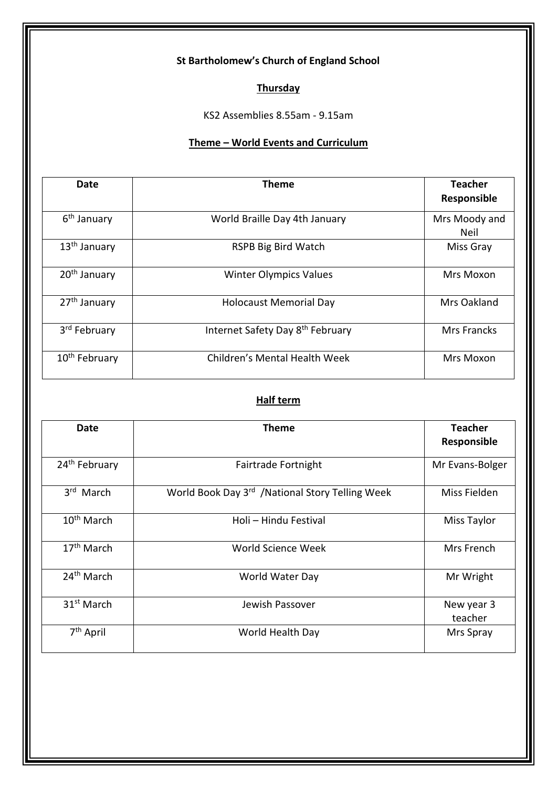### **Thursday**

KS2 Assemblies 8.55am - 9.15am

### **Theme – World Events and Curriculum**

| Date                      | <b>Theme</b>                                 | <b>Teacher</b><br>Responsible |
|---------------------------|----------------------------------------------|-------------------------------|
| 6 <sup>th</sup> January   | World Braille Day 4th January                | Mrs Moody and<br>Neil         |
| 13 <sup>th</sup> January  | RSPB Big Bird Watch                          | Miss Gray                     |
| 20 <sup>th</sup> January  | <b>Winter Olympics Values</b>                | Mrs Moxon                     |
| 27 <sup>th</sup> January  | <b>Holocaust Memorial Day</b>                | Mrs Oakland                   |
| 3 <sup>rd</sup> February  | Internet Safety Day 8 <sup>th</sup> February | <b>Mrs Francks</b>            |
| 10 <sup>th</sup> February | Children's Mental Health Week                | Mrs Moxon                     |

| Date                      | <b>Theme</b>                                     | <b>Teacher</b><br>Responsible |
|---------------------------|--------------------------------------------------|-------------------------------|
| 24 <sup>th</sup> February | Fairtrade Fortnight                              | Mr Evans-Bolger               |
| 3rd March                 | World Book Day 3rd / National Story Telling Week | Miss Fielden                  |
| 10 <sup>th</sup> March    | Holi - Hindu Festival                            | <b>Miss Taylor</b>            |
| $17th$ March              | World Science Week                               | Mrs French                    |
| 24 <sup>th</sup> March    | World Water Day                                  | Mr Wright                     |
| 31 <sup>st</sup> March    | Jewish Passover                                  | New year 3<br>teacher         |
| 7 <sup>th</sup> April     | World Health Day                                 | Mrs Spray                     |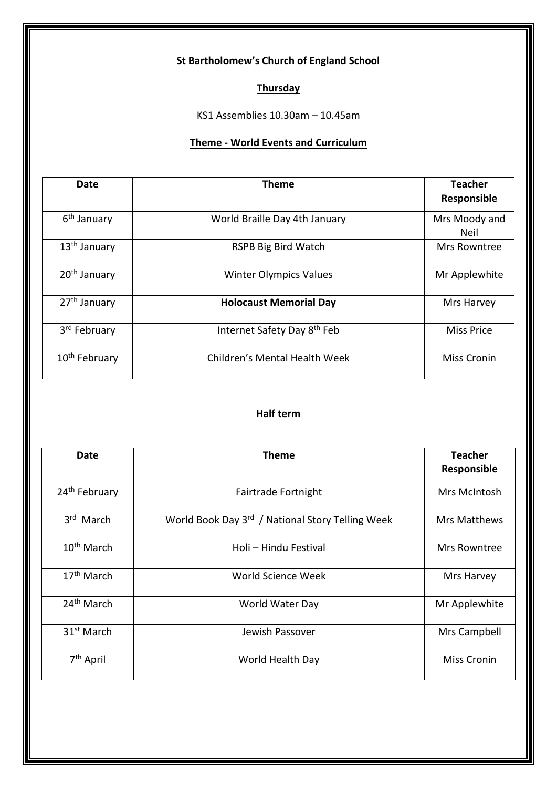### **Thursday**

KS1 Assemblies 10.30am – 10.45am

#### **Theme - World Events and Curriculum**

| Date                      | Theme                                   | <b>Teacher</b><br>Responsible |
|---------------------------|-----------------------------------------|-------------------------------|
| 6 <sup>th</sup> January   | World Braille Day 4th January           | Mrs Moody and<br>Neil         |
| 13 <sup>th</sup> January  | RSPB Big Bird Watch                     | Mrs Rowntree                  |
| 20 <sup>th</sup> January  | <b>Winter Olympics Values</b>           | Mr Applewhite                 |
| 27 <sup>th</sup> January  | <b>Holocaust Memorial Day</b>           | Mrs Harvey                    |
| 3 <sup>rd</sup> February  | Internet Safety Day 8 <sup>th</sup> Feb | <b>Miss Price</b>             |
| 10 <sup>th</sup> February | Children's Mental Health Week           | <b>Miss Cronin</b>            |

| <b>Date</b>               | <b>Theme</b>                                     | <b>Teacher</b><br>Responsible |
|---------------------------|--------------------------------------------------|-------------------------------|
| 24 <sup>th</sup> February | Fairtrade Fortnight                              | Mrs McIntosh                  |
| 3 <sup>rd</sup> March     | World Book Day 3rd / National Story Telling Week | Mrs Matthews                  |
| 10 <sup>th</sup> March    | Holi - Hindu Festival                            | Mrs Rowntree                  |
| $17th$ March              | World Science Week                               | Mrs Harvey                    |
| 24 <sup>th</sup> March    | World Water Day                                  | Mr Applewhite                 |
| 31 <sup>st</sup> March    | Jewish Passover                                  | Mrs Campbell                  |
| 7 <sup>th</sup> April     | World Health Day                                 | <b>Miss Cronin</b>            |